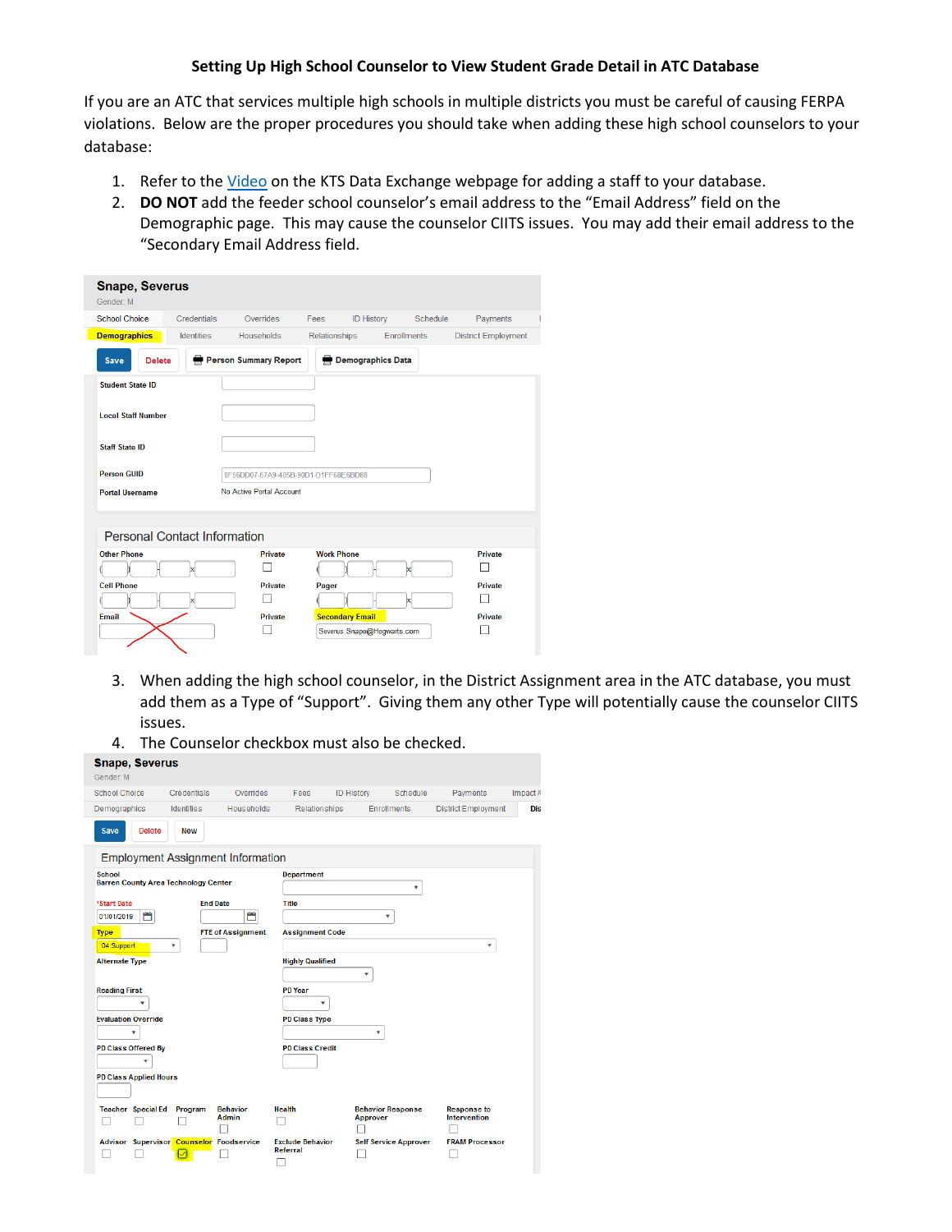## **Setting Up High School Counselor to View Student Grade Detail in ATC Database**

If you are an ATC that services multiple high schools in multiple districts you must be careful of causing FERPA violations. Below are the proper procedures you should take when adding these high school counselors to your database:

- 1. Refer to the *Video* on the KTS Data Exchange webpage for adding a staff to your database.
- 2. **DO NOT** add the feeder school counselor's email address to the "Email Address" field on the Demographic page. This may cause the counselor CIITS issues. You may add their email address to the "Secondary Email Address field.

| <b>Snape, Severus</b><br>Gender: M  |                   |                                      |                      |                            |             |                            |
|-------------------------------------|-------------------|--------------------------------------|----------------------|----------------------------|-------------|----------------------------|
| <b>School Choice</b>                | Credentials       | Overrides                            | Fees                 | <b>ID History</b>          | Schedule    | Payments                   |
| <b>Demographics</b>                 | <b>Identities</b> | <b>Households</b>                    | <b>Relationships</b> |                            | Enrollments | <b>District Employment</b> |
| Save<br><b>Delete</b>               |                   | <b>Person Summary Report</b>         |                      | <b>Demographics Data</b>   |             |                            |
| <b>Student State ID</b>             |                   |                                      |                      |                            |             |                            |
| <b>Local Staff Number</b>           |                   |                                      |                      |                            |             |                            |
| <b>Staff State ID</b>               |                   |                                      |                      |                            |             |                            |
| <b>Person GUID</b>                  |                   | 8F56DD07-57A9-405B-90D1-D1FF68E6BD88 |                      |                            |             |                            |
| <b>Portal Username</b>              |                   | No Active Portal Account             |                      |                            |             |                            |
| <b>Personal Contact Information</b> |                   |                                      |                      |                            |             |                            |
| <b>Other Phone</b>                  |                   | <b>Private</b>                       | <b>Work Phone</b>    |                            |             | <b>Private</b>             |
|                                     |                   |                                      |                      |                            |             |                            |
| <b>Cell Phone</b>                   |                   | <b>Private</b>                       | Pager                |                            |             | <b>Private</b>             |
|                                     |                   |                                      |                      |                            |             |                            |
| <b>Email</b>                        |                   | <b>Private</b>                       |                      | <b>Secondary Email</b>     |             | <b>Private</b>             |
|                                     |                   |                                      |                      | Severus.Snape@Hogwarts.com |             |                            |

- 3. When adding the high school counselor, in the District Assignment area in the ATC database, you must add them as a Type of "Support". Giving them any other Type will potentially cause the counselor CIITS issues.
- **Snape, Severus** Gender: M School Choice Credentials Overrides Fees ID History Schedule Payments Impact  $A$ Demographics Identities Households Relationships Enrollments District Employment Dis Save Delete **New Employment Assignment Information Department** School<br>Barren County Area Technology Center  $^\star$ \*Start Date **End Date** Title  $\blacksquare$  $\overline{\phantom{0}}$ 01/01/2019 **Type FTE of Assignment Assignment Code**  $\overline{\phantom{0}}$ 04:Support Alternate Type **Highly Qualified** ⊋ **Reading First** PD Year  $\boldsymbol{\mathrm{v}}$ **Evaluation Override** PD Class Type  $\overline{\phantom{0}}$  $\boldsymbol{\mathrm{v}}$ **PD Class Credit** PD Class Offered By  $\overline{\phantom{0}}$ PD Class Applied Hours Teacher Special Ed Program Behavior<br>Admin Health **Behavior Response** Response to<br>Intervention Approver  $\Box$  $\begin{array}{cccccccccccccc} \Box & \Box & \Box & \Box & \Box \end{array}$  $\Box$  $\Box$  $\Box$ Exclude Behavior<br>Referral Advisor Supervisor Counselor Foodservice Self Service Approver **FRAM Processor**  $\overline{\mathbf{S}}$  $\Box$ **Contract Contract**  $\Box$  $\Box$  $\Box$  $\Box$
- 4. The Counselor checkbox must also be checked.